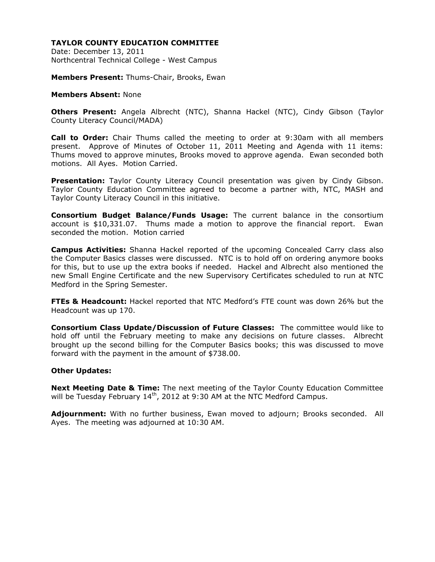Date: December 13, 2011 Northcentral Technical College - West Campus

**Members Present:** Thums-Chair, Brooks, Ewan

#### **Members Absent:** None

**Others Present:** Angela Albrecht (NTC), Shanna Hackel (NTC), Cindy Gibson (Taylor County Literacy Council/MADA)

**Call to Order:** Chair Thums called the meeting to order at 9:30am with all members present. Approve of Minutes of October 11, 2011 Meeting and Agenda with 11 items: Thums moved to approve minutes, Brooks moved to approve agenda. Ewan seconded both motions. All Ayes. Motion Carried.

**Presentation:** Taylor County Literacy Council presentation was given by Cindy Gibson. Taylor County Education Committee agreed to become a partner with, NTC, MASH and Taylor County Literacy Council in this initiative.

**Consortium Budget Balance/Funds Usage:** The current balance in the consortium account is \$10,331.07. Thums made a motion to approve the financial report. Ewan seconded the motion. Motion carried

**Campus Activities:** Shanna Hackel reported of the upcoming Concealed Carry class also the Computer Basics classes were discussed. NTC is to hold off on ordering anymore books for this, but to use up the extra books if needed. Hackel and Albrecht also mentioned the new Small Engine Certificate and the new Supervisory Certificates scheduled to run at NTC Medford in the Spring Semester.

**FTEs & Headcount:** Hackel reported that NTC Medford's FTE count was down 26% but the Headcount was up 170.

**Consortium Class Update/Discussion of Future Classes:** The committee would like to hold off until the February meeting to make any decisions on future classes. Albrecht brought up the second billing for the Computer Basics books; this was discussed to move forward with the payment in the amount of \$738.00.

## **Other Updates:**

**Next Meeting Date & Time:** The next meeting of the Taylor County Education Committee will be Tuesday February 14<sup>th</sup>, 2012 at 9:30 AM at the NTC Medford Campus.

**Adjournment:** With no further business, Ewan moved to adjourn; Brooks seconded. All Ayes. The meeting was adjourned at 10:30 AM.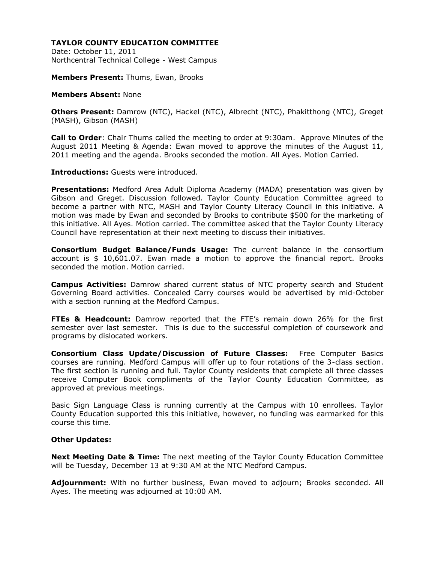Date: October 11, 2011 Northcentral Technical College - West Campus

**Members Present:** Thums, Ewan, Brooks

### **Members Absent:** None

**Others Present:** Damrow (NTC), Hackel (NTC), Albrecht (NTC), Phakitthong (NTC), Greget (MASH), Gibson (MASH)

**Call to Order**: Chair Thums called the meeting to order at 9:30am. Approve Minutes of the August 2011 Meeting & Agenda: Ewan moved to approve the minutes of the August 11, 2011 meeting and the agenda. Brooks seconded the motion. All Ayes. Motion Carried.

**Introductions:** Guests were introduced.

**Presentations:** Medford Area Adult Diploma Academy (MADA) presentation was given by Gibson and Greget. Discussion followed. Taylor County Education Committee agreed to become a partner with NTC, MASH and Taylor County Literacy Council in this initiative. A motion was made by Ewan and seconded by Brooks to contribute \$500 for the marketing of this initiative. All Ayes. Motion carried. The committee asked that the Taylor County Literacy Council have representation at their next meeting to discuss their initiatives.

**Consortium Budget Balance/Funds Usage:** The current balance in the consortium account is \$ 10,601.07. Ewan made a motion to approve the financial report. Brooks seconded the motion. Motion carried.

**Campus Activities:** Damrow shared current status of NTC property search and Student Governing Board activities. Concealed Carry courses would be advertised by mid-October with a section running at the Medford Campus.

**FTEs & Headcount:** Damrow reported that the FTE's remain down 26% for the first semester over last semester. This is due to the successful completion of coursework and programs by dislocated workers.

**Consortium Class Update/Discussion of Future Classes:** Free Computer Basics courses are running. Medford Campus will offer up to four rotations of the 3-class section. The first section is running and full. Taylor County residents that complete all three classes receive Computer Book compliments of the Taylor County Education Committee, as approved at previous meetings.

Basic Sign Language Class is running currently at the Campus with 10 enrollees. Taylor County Education supported this this initiative, however, no funding was earmarked for this course this time.

## **Other Updates:**

**Next Meeting Date & Time:** The next meeting of the Taylor County Education Committee will be Tuesday, December 13 at 9:30 AM at the NTC Medford Campus.

**Adjournment:** With no further business, Ewan moved to adjourn; Brooks seconded. All Ayes. The meeting was adjourned at 10:00 AM.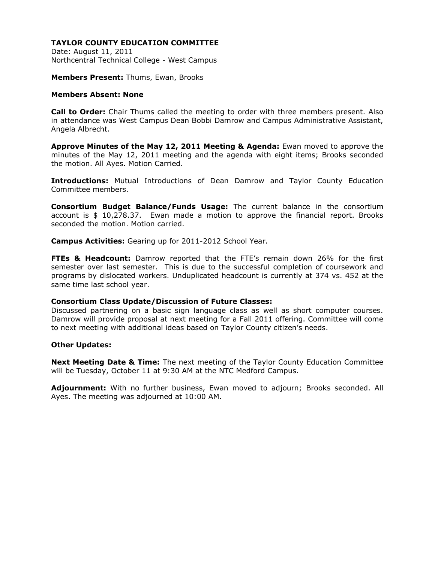Date: August 11, 2011 Northcentral Technical College - West Campus

**Members Present:** Thums, Ewan, Brooks

### **Members Absent: None**

**Call to Order:** Chair Thums called the meeting to order with three members present. Also in attendance was West Campus Dean Bobbi Damrow and Campus Administrative Assistant, Angela Albrecht.

**Approve Minutes of the May 12, 2011 Meeting & Agenda:** Ewan moved to approve the minutes of the May 12, 2011 meeting and the agenda with eight items; Brooks seconded the motion. All Ayes. Motion Carried.

**Introductions:** Mutual Introductions of Dean Damrow and Taylor County Education Committee members.

**Consortium Budget Balance/Funds Usage:** The current balance in the consortium account is \$ 10,278.37. Ewan made a motion to approve the financial report. Brooks seconded the motion. Motion carried.

**Campus Activities:** Gearing up for 2011-2012 School Year.

**FTEs & Headcount:** Damrow reported that the FTE's remain down 26% for the first semester over last semester. This is due to the successful completion of coursework and programs by dislocated workers. Unduplicated headcount is currently at 374 vs. 452 at the same time last school year.

## **Consortium Class Update/Discussion of Future Classes:**

Discussed partnering on a basic sign language class as well as short computer courses. Damrow will provide proposal at next meeting for a Fall 2011 offering. Committee will come to next meeting with additional ideas based on Taylor County citizen's needs.

#### **Other Updates:**

**Next Meeting Date & Time:** The next meeting of the Taylor County Education Committee will be Tuesday, October 11 at 9:30 AM at the NTC Medford Campus.

**Adjournment:** With no further business, Ewan moved to adjourn; Brooks seconded. All Ayes. The meeting was adjourned at 10:00 AM.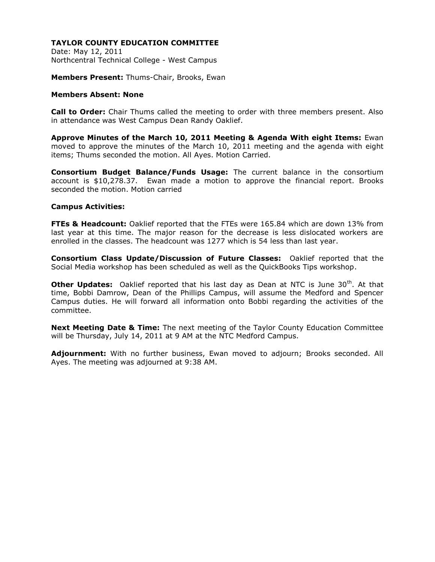Date: May 12, 2011 Northcentral Technical College - West Campus

**Members Present:** Thums-Chair, Brooks, Ewan

# **Members Absent: None**

**Call to Order:** Chair Thums called the meeting to order with three members present. Also in attendance was West Campus Dean Randy Oaklief.

**Approve Minutes of the March 10, 2011 Meeting & Agenda With eight Items:** Ewan moved to approve the minutes of the March 10, 2011 meeting and the agenda with eight items; Thums seconded the motion. All Ayes. Motion Carried.

**Consortium Budget Balance/Funds Usage:** The current balance in the consortium account is \$10,278.37. Ewan made a motion to approve the financial report. Brooks seconded the motion. Motion carried

## **Campus Activities:**

**FTEs & Headcount:** Oaklief reported that the FTEs were 165.84 which are down 13% from last year at this time. The major reason for the decrease is less dislocated workers are enrolled in the classes. The headcount was 1277 which is 54 less than last year.

**Consortium Class Update/Discussion of Future Classes:** Oaklief reported that the Social Media workshop has been scheduled as well as the QuickBooks Tips workshop.

**Other Updates:** Oaklief reported that his last day as Dean at NTC is June 30<sup>th</sup>. At that time, Bobbi Damrow, Dean of the Phillips Campus, will assume the Medford and Spencer Campus duties. He will forward all information onto Bobbi regarding the activities of the committee.

**Next Meeting Date & Time:** The next meeting of the Taylor County Education Committee will be Thursday, July 14, 2011 at 9 AM at the NTC Medford Campus.

**Adjournment:** With no further business, Ewan moved to adjourn; Brooks seconded. All Ayes. The meeting was adjourned at 9:38 AM.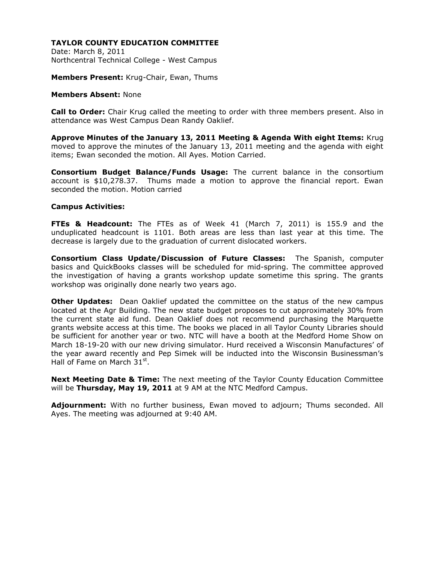Date: March 8, 2011 Northcentral Technical College - West Campus

**Members Present:** Krug-Chair, Ewan, Thums

#### **Members Absent:** None

**Call to Order:** Chair Krug called the meeting to order with three members present. Also in attendance was West Campus Dean Randy Oaklief.

**Approve Minutes of the January 13, 2011 Meeting & Agenda With eight Items:** Krug moved to approve the minutes of the January 13, 2011 meeting and the agenda with eight items; Ewan seconded the motion. All Ayes. Motion Carried.

**Consortium Budget Balance/Funds Usage:** The current balance in the consortium account is \$10,278.37. Thums made a motion to approve the financial report. Ewan seconded the motion. Motion carried

## **Campus Activities:**

**FTEs & Headcount:** The FTEs as of Week 41 (March 7, 2011) is 155.9 and the unduplicated headcount is 1101. Both areas are less than last year at this time. The decrease is largely due to the graduation of current dislocated workers.

**Consortium Class Update/Discussion of Future Classes:** The Spanish, computer basics and QuickBooks classes will be scheduled for mid-spring. The committee approved the investigation of having a grants workshop update sometime this spring. The grants workshop was originally done nearly two years ago.

**Other Updates:** Dean Oaklief updated the committee on the status of the new campus located at the Agr Building. The new state budget proposes to cut approximately 30% from the current state aid fund. Dean Oaklief does not recommend purchasing the Marquette grants website access at this time. The books we placed in all Taylor County Libraries should be sufficient for another year or two. NTC will have a booth at the Medford Home Show on March 18-19-20 with our new driving simulator. Hurd received a Wisconsin Manufactures' of the year award recently and Pep Simek will be inducted into the Wisconsin Businessman's Hall of Fame on March 31st.

**Next Meeting Date & Time:** The next meeting of the Taylor County Education Committee will be **Thursday, May 19, 2011** at 9 AM at the NTC Medford Campus.

**Adjournment:** With no further business, Ewan moved to adjourn; Thums seconded. All Ayes. The meeting was adjourned at 9:40 AM.